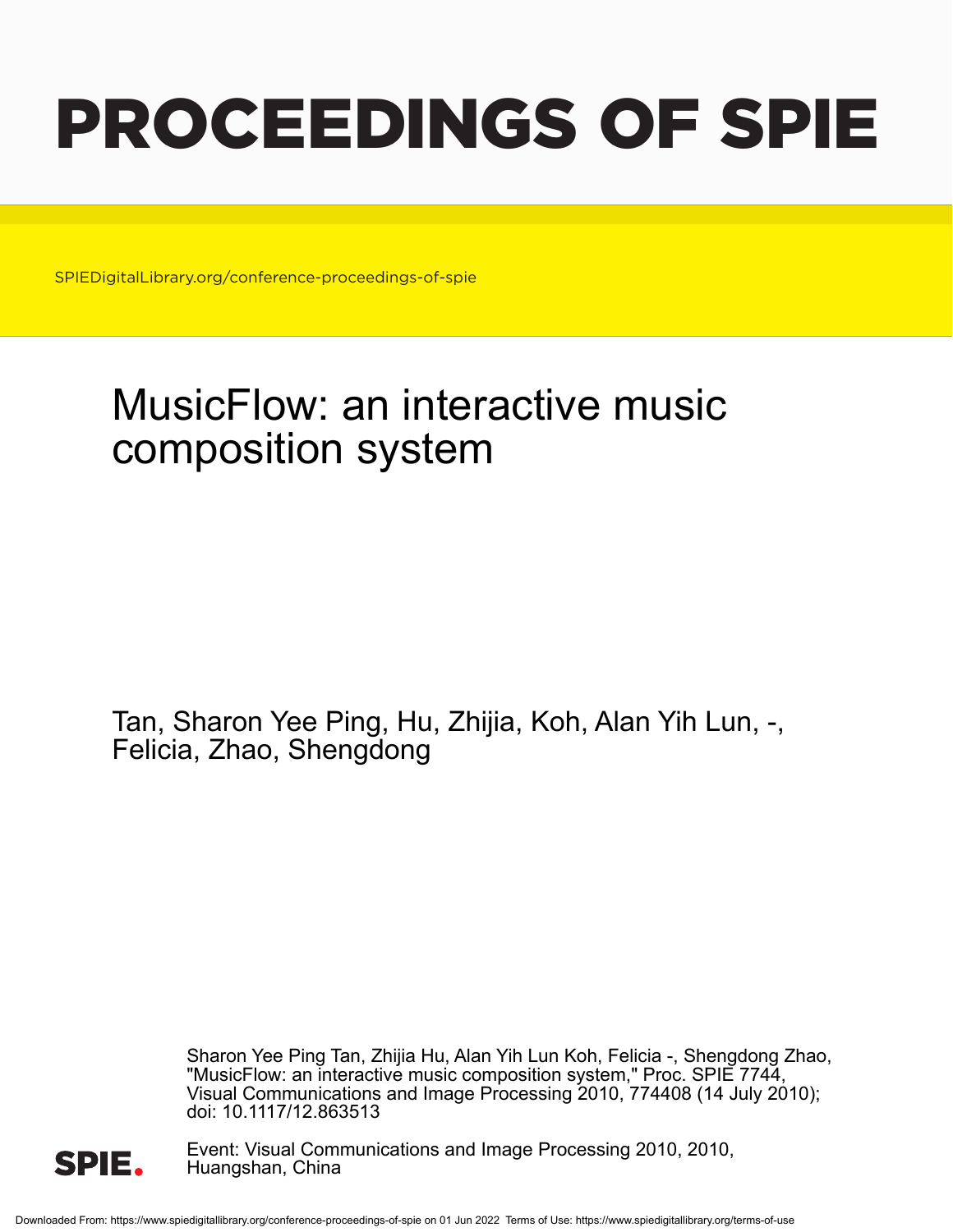# PROCEEDINGS OF SPIE

SPIEDigitalLibrary.org/conference-proceedings-of-spie

# MusicFlow: an interactive music composition system

Tan, Sharon Yee Ping, Hu, Zhijia, Koh, Alan Yih Lun, -, Felicia, Zhao, Shengdong

> Sharon Yee Ping Tan, Zhijia Hu, Alan Yih Lun Koh, Felicia -, Shengdong Zhao, "MusicFlow: an interactive music composition system," Proc. SPIE 7744, Visual Communications and Image Processing 2010, 774408 (14 July 2010); doi: 10.1117/12.863513



Event: Visual Communications and Image Processing 2010, 2010, Huangshan, China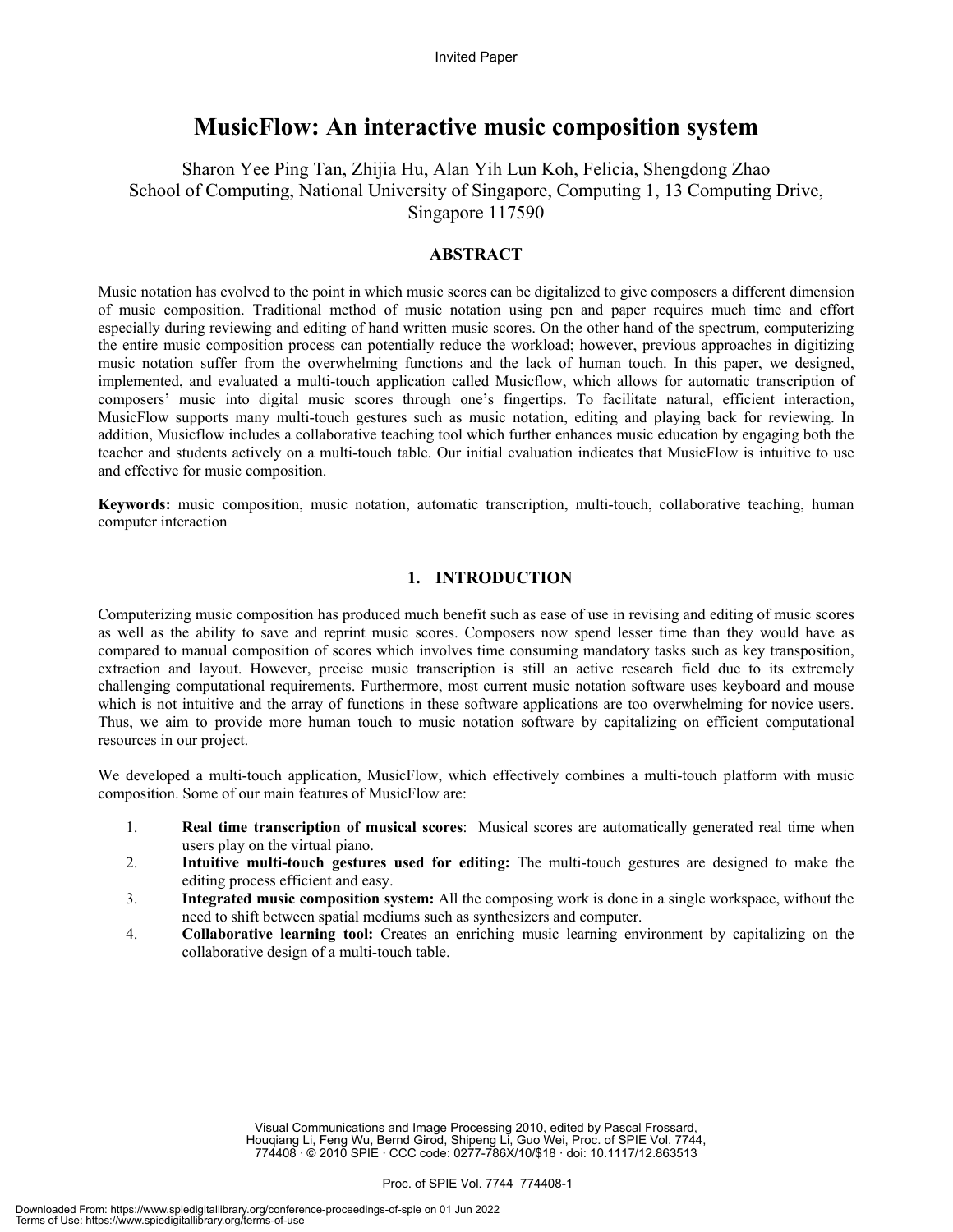# **MusicFlow: An interactive music composition system**

Sharon Yee Ping Tan, Zhijia Hu, Alan Yih Lun Koh, Felicia, Shengdong Zhao School of Computing, National University of Singapore, Computing 1, 13 Computing Drive, Singapore 117590

## **ABSTRACT**

Music notation has evolved to the point in which music scores can be digitalized to give composers a different dimension of music composition. Traditional method of music notation using pen and paper requires much time and effort especially during reviewing and editing of hand written music scores. On the other hand of the spectrum, computerizing the entire music composition process can potentially reduce the workload; however, previous approaches in digitizing music notation suffer from the overwhelming functions and the lack of human touch. In this paper, we designed, implemented, and evaluated a multi-touch application called Musicflow, which allows for automatic transcription of composers' music into digital music scores through one's fingertips. To facilitate natural, efficient interaction, MusicFlow supports many multi-touch gestures such as music notation, editing and playing back for reviewing. In addition, Musicflow includes a collaborative teaching tool which further enhances music education by engaging both the teacher and students actively on a multi-touch table. Our initial evaluation indicates that MusicFlow is intuitive to use and effective for music composition.

**Keywords:** music composition, music notation, automatic transcription, multi-touch, collaborative teaching, human computer interaction

# **1. INTRODUCTION**

Computerizing music composition has produced much benefit such as ease of use in revising and editing of music scores as well as the ability to save and reprint music scores. Composers now spend lesser time than they would have as compared to manual composition of scores which involves time consuming mandatory tasks such as key transposition, extraction and layout. However, precise music transcription is still an active research field due to its extremely challenging computational requirements. Furthermore, most current music notation software uses keyboard and mouse which is not intuitive and the array of functions in these software applications are too overwhelming for novice users. Thus, we aim to provide more human touch to music notation software by capitalizing on efficient computational resources in our project.

We developed a multi-touch application, MusicFlow, which effectively combines a multi-touch platform with music composition. Some of our main features of MusicFlow are:

- 1. **Real time transcription of musical scores**: Musical scores are automatically generated real time when users play on the virtual piano.
- 2. **Intuitive multi-touch gestures used for editing:** The multi-touch gestures are designed to make the editing process efficient and easy.
- 3. **Integrated music composition system:** All the composing work is done in a single workspace, without the need to shift between spatial mediums such as synthesizers and computer.
- 4. **Collaborative learning tool:** Creates an enriching music learning environment by capitalizing on the collaborative design of a multi-touch table.

Visual Communications and Image Processing 2010, edited by Pascal Frossard, Houqiang Li, Feng Wu, Bernd Girod, Shipeng Li, Guo Wei, Proc. of SPIE Vol. 7744, 774408 · © 2010 SPIE · CCC code: 0277-786X/10/\$18 · doi: 10.1117/12.863513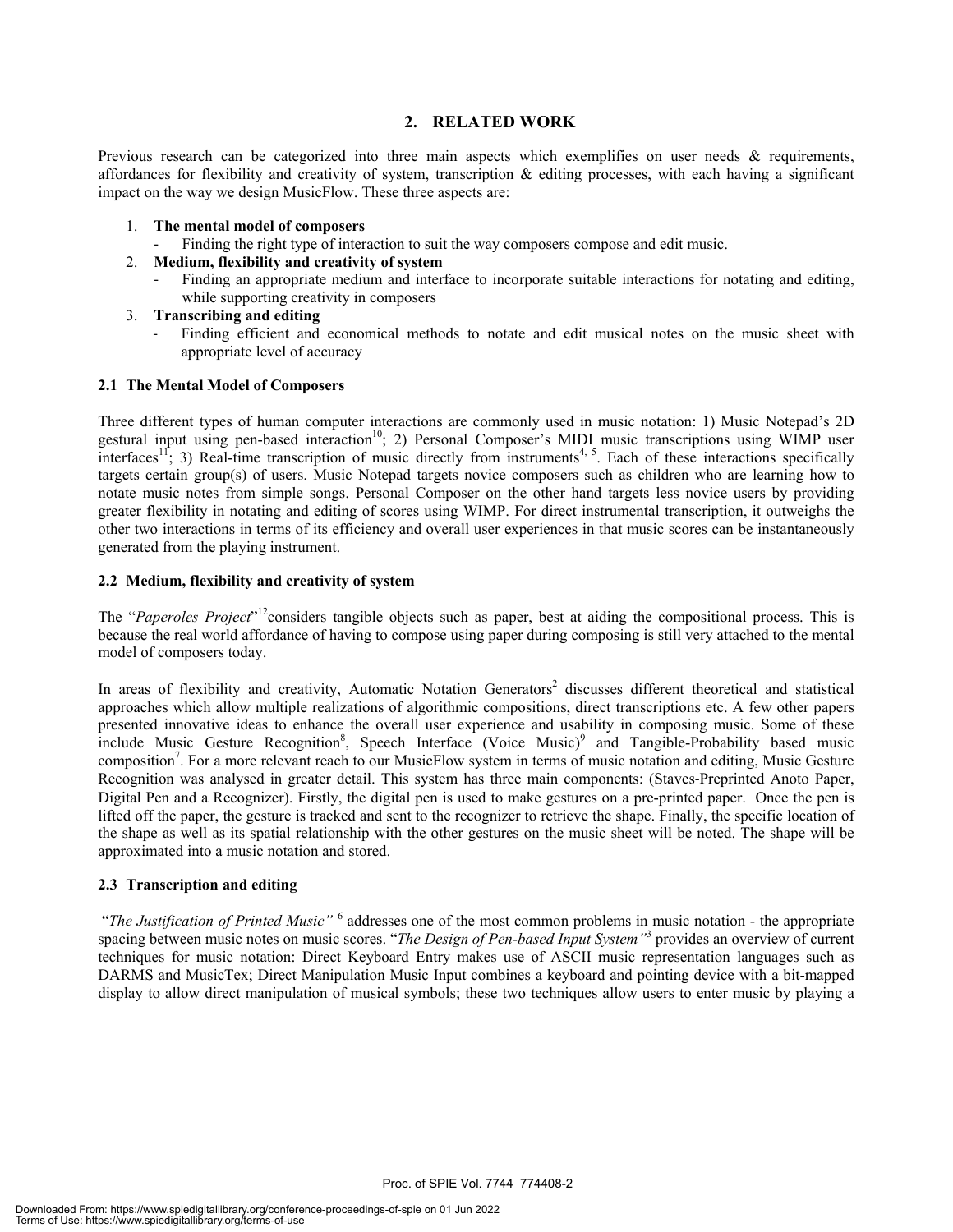# **2. RELATED WORK**

Previous research can be categorized into three main aspects which exemplifies on user needs & requirements, affordances for flexibility and creativity of system, transcription  $\&$  editing processes, with each having a significant impact on the way we design MusicFlow. These three aspects are:

- 1. **The mental model of composers** 
	- Finding the right type of interaction to suit the way composers compose and edit music.
- 2. **Medium, flexibility and creativity of system**
	- Finding an appropriate medium and interface to incorporate suitable interactions for notating and editing, while supporting creativity in composers
- 3. **Transcribing and editing** 
	- Finding efficient and economical methods to notate and edit musical notes on the music sheet with appropriate level of accuracy

# **2.1 The Mental Model of Composers**

Three different types of human computer interactions are commonly used in music notation: 1) Music Notepad's 2D gestural input using pen-based interaction<sup>10</sup>; 2) Personal Composer's MIDI music transcriptions using WIMP user interfaces<sup>11</sup>; 3) Real-time transcription of music directly from instruments<sup>4, 5</sup>. Each of these interactions specifically targets certain group(s) of users. Music Notepad targets novice composers such as children who are learning how to notate music notes from simple songs. Personal Composer on the other hand targets less novice users by providing greater flexibility in notating and editing of scores using WIMP. For direct instrumental transcription, it outweighs the other two interactions in terms of its efficiency and overall user experiences in that music scores can be instantaneously generated from the playing instrument.

# **2.2 Medium, flexibility and creativity of system**

The "Paperoles Project"<sup>12</sup>considers tangible objects such as paper, best at aiding the compositional process. This is because the real world affordance of having to compose using paper during composing is still very attached to the mental model of composers today.

In areas of flexibility and creativity, Automatic Notation Generators<sup>2</sup> discusses different theoretical and statistical approaches which allow multiple realizations of algorithmic compositions, direct transcriptions etc. A few other papers presented innovative ideas to enhance the overall user experience and usability in composing music. Some of these include Music Gesture Recognition<sup>8</sup>, Speech Interface (Voice Music)<sup>9</sup> and Tangible-Probability based music composition<sup>7</sup>. For a more relevant reach to our MusicFlow system in terms of music notation and editing, Music Gesture Recognition was analysed in greater detail. This system has three main components: (Staves-Preprinted Anoto Paper, Digital Pen and a Recognizer). Firstly, the digital pen is used to make gestures on a pre-printed paper. Once the pen is lifted off the paper, the gesture is tracked and sent to the recognizer to retrieve the shape. Finally, the specific location of the shape as well as its spatial relationship with the other gestures on the music sheet will be noted. The shape will be approximated into a music notation and stored.

# **2.3 Transcription and editing**

 "*The Justification of Printed Music"* <sup>6</sup> addresses one of the most common problems in music notation - the appropriate spacing between music notes on music scores. "The Design of Pen-based Input System"<sup>3</sup> provides an overview of current techniques for music notation: Direct Keyboard Entry makes use of ASCII music representation languages such as DARMS and MusicTex; Direct Manipulation Music Input combines a keyboard and pointing device with a bit-mapped display to allow direct manipulation of musical symbols; these two techniques allow users to enter music by playing a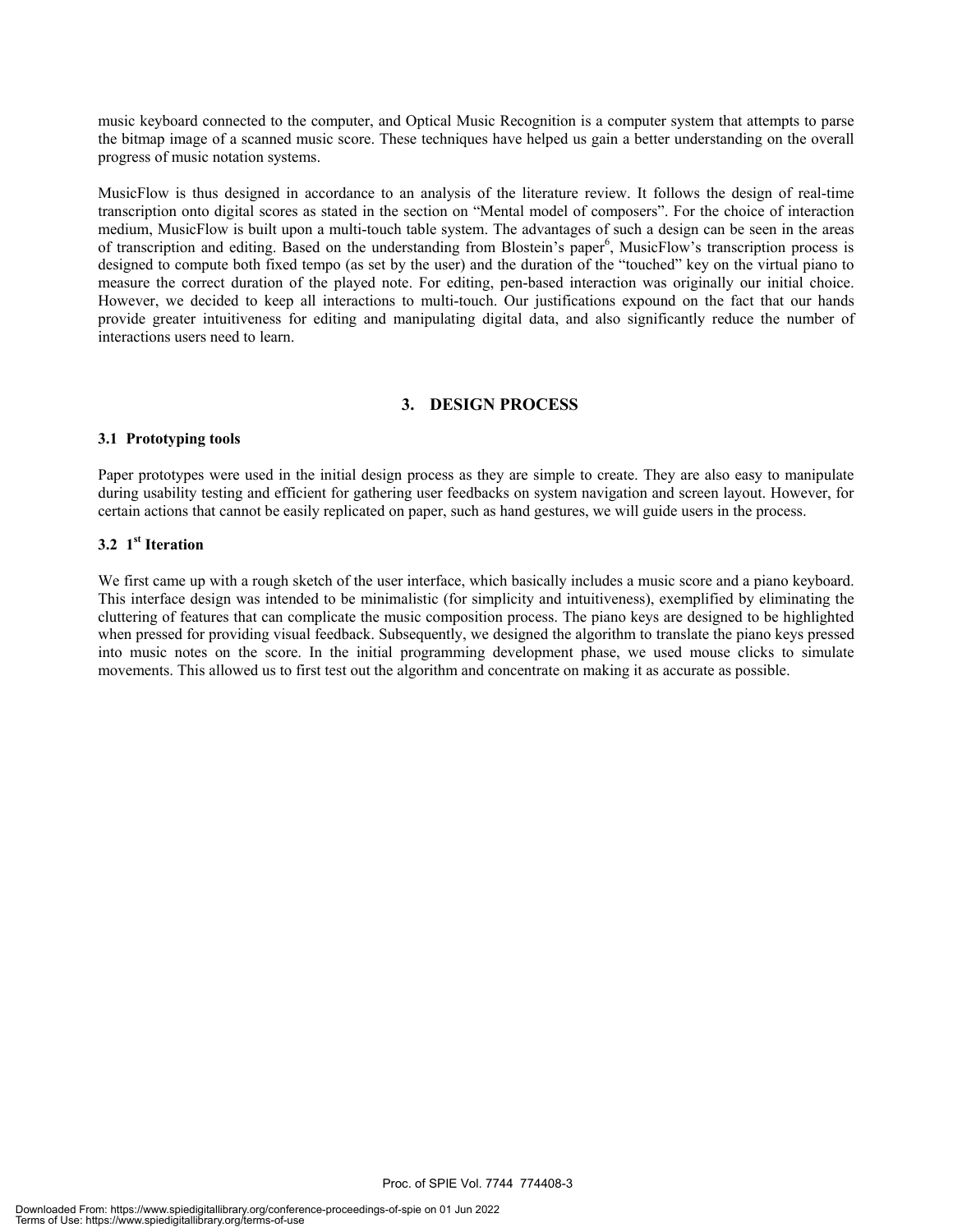music keyboard connected to the computer, and Optical Music Recognition is a computer system that attempts to parse the bitmap image of a scanned music score. These techniques have helped us gain a better understanding on the overall progress of music notation systems.

MusicFlow is thus designed in accordance to an analysis of the literature review. It follows the design of real-time transcription onto digital scores as stated in the section on "Mental model of composers". For the choice of interaction medium, MusicFlow is built upon a multi-touch table system. The advantages of such a design can be seen in the areas of transcription and editing. Based on the understanding from Blostein's paper<sup>6</sup>, MusicFlow's transcription process is designed to compute both fixed tempo (as set by the user) and the duration of the "touched" key on the virtual piano to measure the correct duration of the played note. For editing, pen-based interaction was originally our initial choice. However, we decided to keep all interactions to multi-touch. Our justifications expound on the fact that our hands provide greater intuitiveness for editing and manipulating digital data, and also significantly reduce the number of interactions users need to learn.

# **3. DESIGN PROCESS**

# **3.1 Prototyping tools**

Paper prototypes were used in the initial design process as they are simple to create. They are also easy to manipulate during usability testing and efficient for gathering user feedbacks on system navigation and screen layout. However, for certain actions that cannot be easily replicated on paper, such as hand gestures, we will guide users in the process.

# **3.2 1st Iteration**

We first came up with a rough sketch of the user interface, which basically includes a music score and a piano keyboard. This interface design was intended to be minimalistic (for simplicity and intuitiveness), exemplified by eliminating the cluttering of features that can complicate the music composition process. The piano keys are designed to be highlighted when pressed for providing visual feedback. Subsequently, we designed the algorithm to translate the piano keys pressed into music notes on the score. In the initial programming development phase, we used mouse clicks to simulate movements. This allowed us to first test out the algorithm and concentrate on making it as accurate as possible.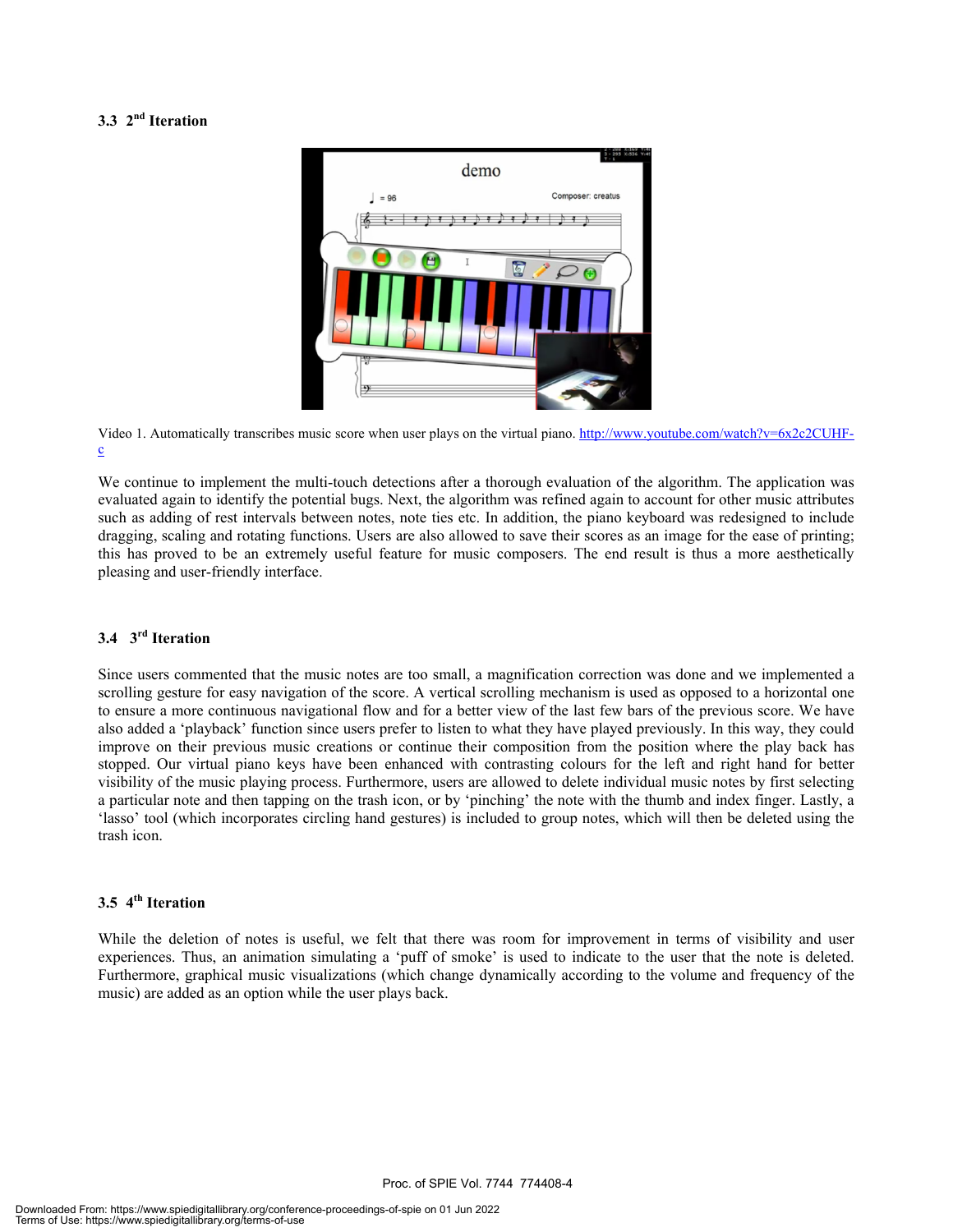# **3.3 2nd Iteration**



Video 1. Automatically transcribes music score when user plays on the virtual piano. http://www.youtube.com/watch?v=6x2c2CUHFc

We continue to implement the multi-touch detections after a thorough evaluation of the algorithm. The application was evaluated again to identify the potential bugs. Next, the algorithm was refined again to account for other music attributes such as adding of rest intervals between notes, note ties etc. In addition, the piano keyboard was redesigned to include dragging, scaling and rotating functions. Users are also allowed to save their scores as an image for the ease of printing; this has proved to be an extremely useful feature for music composers. The end result is thus a more aesthetically pleasing and user-friendly interface.

# **3.4 3rd Iteration**

Since users commented that the music notes are too small, a magnification correction was done and we implemented a scrolling gesture for easy navigation of the score. A vertical scrolling mechanism is used as opposed to a horizontal one to ensure a more continuous navigational flow and for a better view of the last few bars of the previous score. We have also added a 'playback' function since users prefer to listen to what they have played previously. In this way, they could improve on their previous music creations or continue their composition from the position where the play back has stopped. Our virtual piano keys have been enhanced with contrasting colours for the left and right hand for better visibility of the music playing process. Furthermore, users are allowed to delete individual music notes by first selecting a particular note and then tapping on the trash icon, or by 'pinching' the note with the thumb and index finger. Lastly, a 'lasso' tool (which incorporates circling hand gestures) is included to group notes, which will then be deleted using the trash icon.

# **3.5 4th Iteration**

While the deletion of notes is useful, we felt that there was room for improvement in terms of visibility and user experiences. Thus, an animation simulating a 'puff of smoke' is used to indicate to the user that the note is deleted. Furthermore, graphical music visualizations (which change dynamically according to the volume and frequency of the music) are added as an option while the user plays back.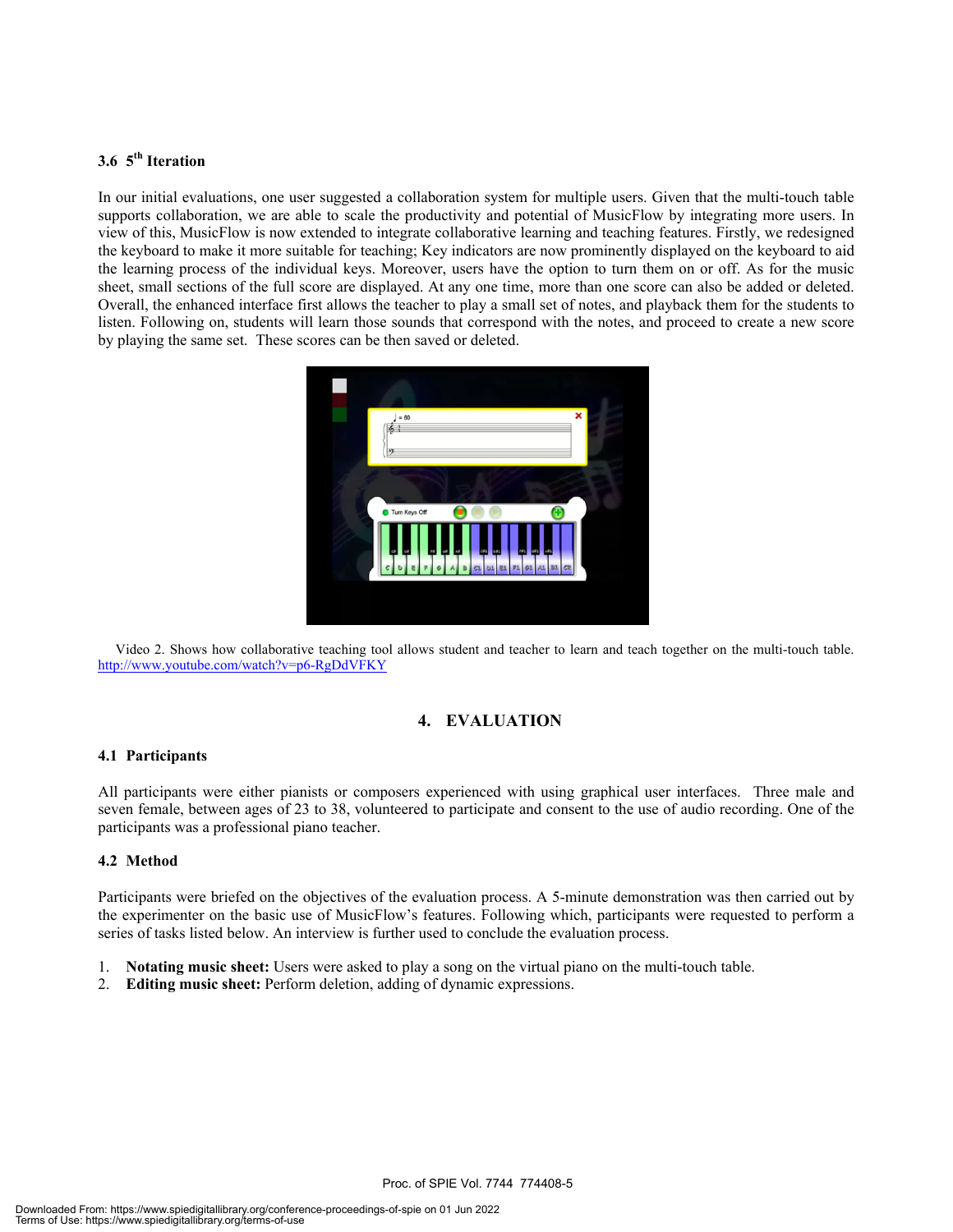# **3.6 5th Iteration**

In our initial evaluations, one user suggested a collaboration system for multiple users. Given that the multi-touch table supports collaboration, we are able to scale the productivity and potential of MusicFlow by integrating more users. In view of this, MusicFlow is now extended to integrate collaborative learning and teaching features. Firstly, we redesigned the keyboard to make it more suitable for teaching; Key indicators are now prominently displayed on the keyboard to aid the learning process of the individual keys. Moreover, users have the option to turn them on or off. As for the music sheet, small sections of the full score are displayed. At any one time, more than one score can also be added or deleted. Overall, the enhanced interface first allows the teacher to play a small set of notes, and playback them for the students to listen. Following on, students will learn those sounds that correspond with the notes, and proceed to create a new score by playing the same set. These scores can be then saved or deleted.



 Video 2. Shows how collaborative teaching tool allows student and teacher to learn and teach together on the multi-touch table. http://www.youtube.com/watch?v=p6-RgDdVFKY

# **4. EVALUATION**

### **4.1 Participants**

All participants were either pianists or composers experienced with using graphical user interfaces. Three male and seven female, between ages of 23 to 38, volunteered to participate and consent to the use of audio recording. One of the participants was a professional piano teacher.

### **4.2 Method**

Participants were briefed on the objectives of the evaluation process. A 5-minute demonstration was then carried out by the experimenter on the basic use of MusicFlow's features. Following which, participants were requested to perform a series of tasks listed below. An interview is further used to conclude the evaluation process.

- 1. **Notating music sheet:** Users were asked to play a song on the virtual piano on the multi-touch table.
- 2. **Editing music sheet:** Perform deletion, adding of dynamic expressions.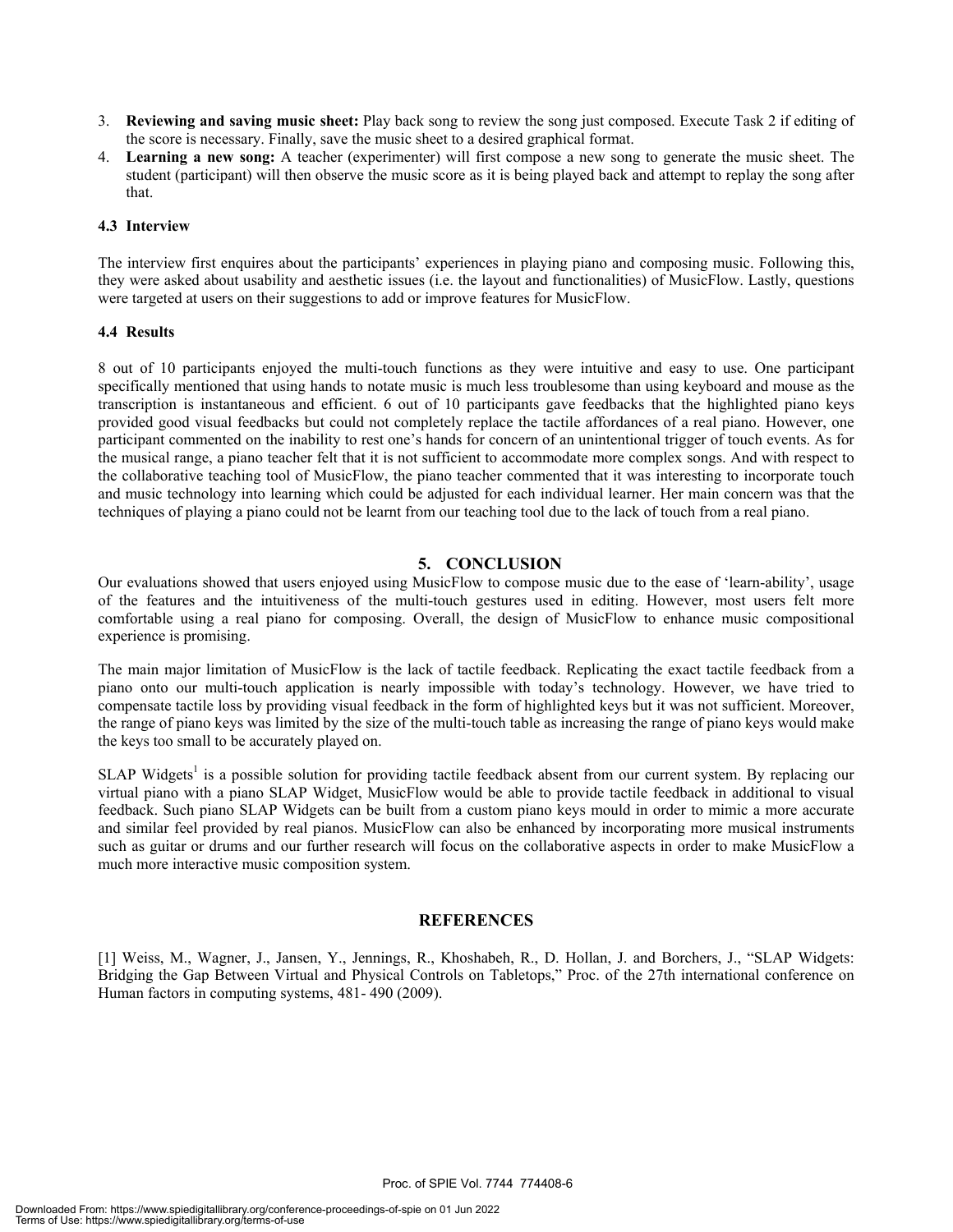- 3. **Reviewing and saving music sheet:** Play back song to review the song just composed. Execute Task 2 if editing of the score is necessary. Finally, save the music sheet to a desired graphical format.
- 4. **Learning a new song:** A teacher (experimenter) will first compose a new song to generate the music sheet. The student (participant) will then observe the music score as it is being played back and attempt to replay the song after that.

# **4.3 Interview**

The interview first enquires about the participants' experiences in playing piano and composing music. Following this, they were asked about usability and aesthetic issues (i.e. the layout and functionalities) of MusicFlow. Lastly, questions were targeted at users on their suggestions to add or improve features for MusicFlow.

# **4.4 Results**

8 out of 10 participants enjoyed the multi-touch functions as they were intuitive and easy to use. One participant specifically mentioned that using hands to notate music is much less troublesome than using keyboard and mouse as the transcription is instantaneous and efficient. 6 out of 10 participants gave feedbacks that the highlighted piano keys provided good visual feedbacks but could not completely replace the tactile affordances of a real piano. However, one participant commented on the inability to rest one's hands for concern of an unintentional trigger of touch events. As for the musical range, a piano teacher felt that it is not sufficient to accommodate more complex songs. And with respect to the collaborative teaching tool of MusicFlow, the piano teacher commented that it was interesting to incorporate touch and music technology into learning which could be adjusted for each individual learner. Her main concern was that the techniques of playing a piano could not be learnt from our teaching tool due to the lack of touch from a real piano.

# **5. CONCLUSION**

Our evaluations showed that users enjoyed using MusicFlow to compose music due to the ease of 'learn-ability', usage of the features and the intuitiveness of the multi-touch gestures used in editing. However, most users felt more comfortable using a real piano for composing. Overall, the design of MusicFlow to enhance music compositional experience is promising.

The main major limitation of MusicFlow is the lack of tactile feedback. Replicating the exact tactile feedback from a piano onto our multi-touch application is nearly impossible with today's technology. However, we have tried to compensate tactile loss by providing visual feedback in the form of highlighted keys but it was not sufficient. Moreover, the range of piano keys was limited by the size of the multi-touch table as increasing the range of piano keys would make the keys too small to be accurately played on.

SLAP Widgets<sup>1</sup> is a possible solution for providing tactile feedback absent from our current system. By replacing our virtual piano with a piano SLAP Widget, MusicFlow would be able to provide tactile feedback in additional to visual feedback. Such piano SLAP Widgets can be built from a custom piano keys mould in order to mimic a more accurate and similar feel provided by real pianos. MusicFlow can also be enhanced by incorporating more musical instruments such as guitar or drums and our further research will focus on the collaborative aspects in order to make MusicFlow a much more interactive music composition system.

# **REFERENCES**

[1] Weiss, M., Wagner, J., Jansen, Y., Jennings, R., Khoshabeh, R., D. Hollan, J. and Borchers, J., "SLAP Widgets: Bridging the Gap Between Virtual and Physical Controls on Tabletops," Proc. of the 27th international conference on Human factors in computing systems, 481- 490 (2009).